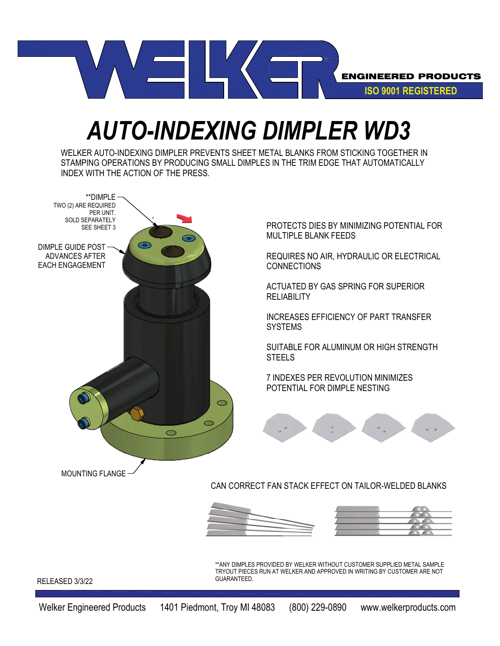

## *AUTO-INDEXING DIMPLER WD3*

WELKER AUTO-INDEXING DIMPLER PREVENTS SHEET METAL BLANKS FROM STICKING TOGETHER IN STAMPING OPERATIONS BY PRODUCING SMALL DIMPLES IN THE TRIM EDGE THAT AUTOMATICALLY INDEX WITH THE ACTION OF THE PRESS.



PROTECTS DIES BY MINIMIZING POTENTIAL FOR MULTIPLE BLANK FEEDS

REQUIRES NO AIR, HYDRAULIC OR ELECTRICAL **CONNECTIONS** 

ACTUATED BY GAS SPRING FOR SUPERIOR **RELIABILITY** 

INCREASES EFFICIENCY OF PART TRANSFER **SYSTEMS** 

SUITABLE FOR ALUMINUM OR HIGH STRENGTH STEELS

7 INDEXES PER REVOLUTION MINIMIZES POTENTIAL FOR DIMPLE NESTING



CAN CORRECT FAN STACK EFFECT ON TAILOR-WELDED BLANKS





\*\*ANY DIMPLES PROVIDED BY WELKER WITHOUT CUSTOMER SUPPLIED METAL SAMPLE TRYOUT PIECES RUN AT WELKER AND APPROVED IN WRITING BY CUSTOMER ARE NOT GUARANTEED.

RELEASED 3/3/22

Welker Engineered Products 1401 Piedmont, Troy MI 48083 (800) 229-0890 www.welkerproducts.com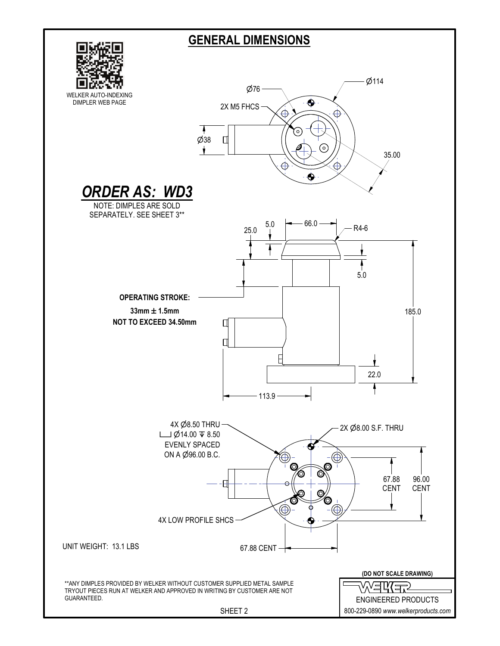